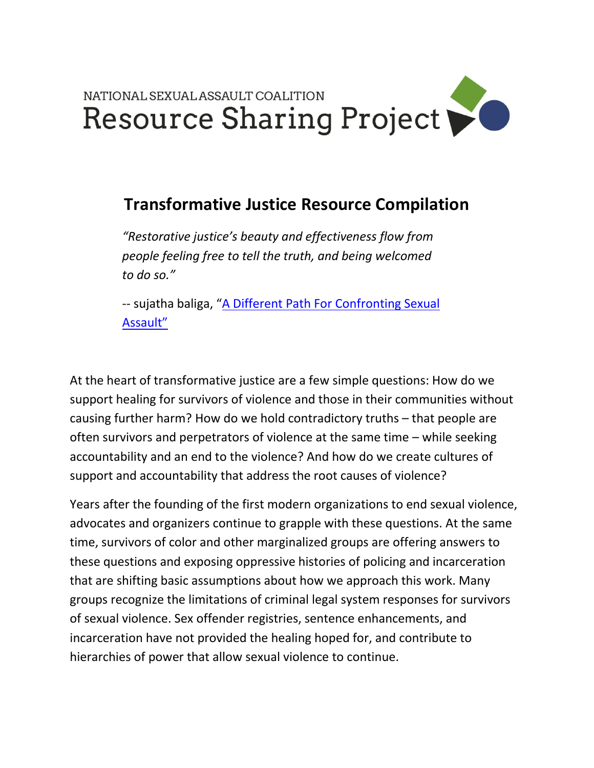

## **Transformative Justice Resource Compilation**

*"Restorative justice's beauty and effectiveness flow from people feeling free to tell the truth, and being welcomed to do so."*

-- sujatha baliga, "A Different Path For Confronting Sexual [Assault"](https://impactjustice.org/a-different-path-for-confronting-sexual-assault/)

At the heart of transformative justice are a few simple questions: How do we support healing for survivors of violence and those in their communities without causing further harm? How do we hold contradictory truths – that people are often survivors and perpetrators of violence at the same time – while seeking accountability and an end to the violence? And how do we create cultures of support and accountability that address the root causes of violence?

Years after the founding of the first modern organizations to end sexual violence, advocates and organizers continue to grapple with these questions. At the same time, survivors of color and other marginalized groups are offering answers to these questions and exposing oppressive histories of policing and incarceration that are shifting basic assumptions about how we approach this work. Many groups recognize the limitations of criminal legal system responses for survivors of sexual violence. Sex offender registries, sentence enhancements, and incarceration have not provided the healing hoped for, and contribute to hierarchies of power that allow sexual violence to continue.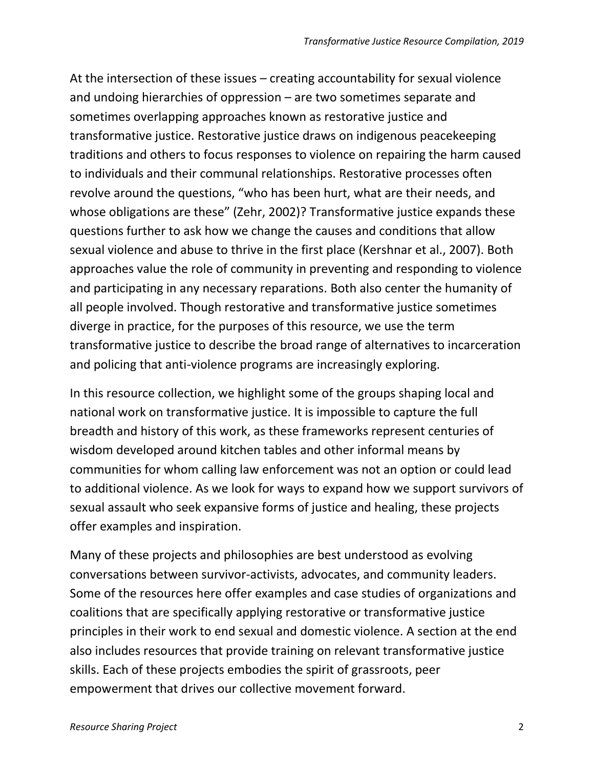At the intersection of these issues – creating accountability for sexual violence and undoing hierarchies of oppression – are two sometimes separate and sometimes overlapping approaches known as restorative justice and transformative justice. Restorative justice draws on indigenous peacekeeping traditions and others to focus responses to violence on repairing the harm caused to individuals and their communal relationships. Restorative processes often revolve around the questions, "who has been hurt, what are their needs, and whose obligations are these" (Zehr, 2002)? Transformative justice expands these questions further to ask how we change the causes and conditions that allow sexual violence and abuse to thrive in the first place (Kershnar et al., 2007). Both approaches value the role of community in preventing and responding to violence and participating in any necessary reparations. Both also center the humanity of all people involved. Though restorative and transformative justice sometimes diverge in practice, for the purposes of this resource, we use the term transformative justice to describe the broad range of alternatives to incarceration and policing that anti-violence programs are increasingly exploring.

In this resource collection, we highlight some of the groups shaping local and national work on transformative justice. It is impossible to capture the full breadth and history of this work, as these frameworks represent centuries of wisdom developed around kitchen tables and other informal means by communities for whom calling law enforcement was not an option or could lead to additional violence. As we look for ways to expand how we support survivors of sexual assault who seek expansive forms of justice and healing, these projects offer examples and inspiration.

Many of these projects and philosophies are best understood as evolving conversations between survivor-activists, advocates, and community leaders. Some of the resources here offer examples and case studies of organizations and coalitions that are specifically applying restorative or transformative justice principles in their work to end sexual and domestic violence. A section at the end also includes resources that provide training on relevant transformative justice skills. Each of these projects embodies the spirit of grassroots, peer empowerment that drives our collective movement forward.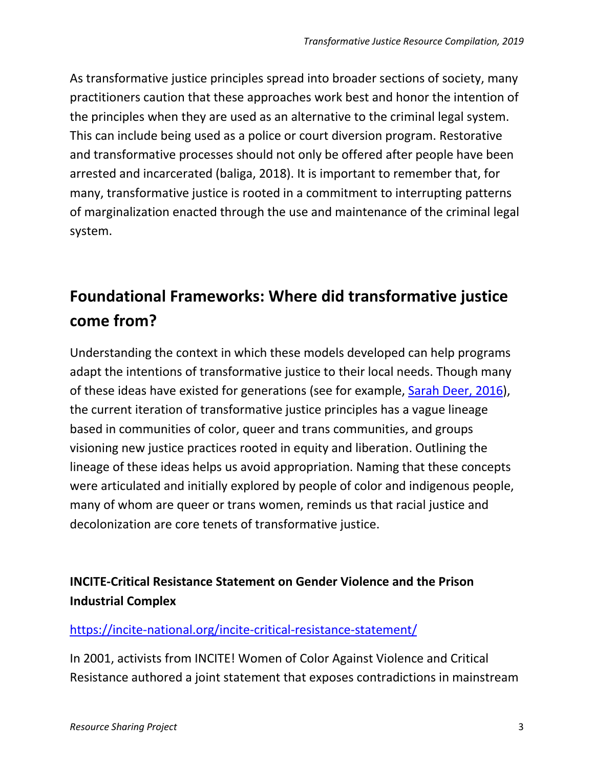As transformative justice principles spread into broader sections of society, many practitioners caution that these approaches work best and honor the intention of the principles when they are used as an alternative to the criminal legal system. This can include being used as a police or court diversion program. Restorative and transformative processes should not only be offered after people have been arrested and incarcerated (baliga, 2018). It is important to remember that, for many, transformative justice is rooted in a commitment to interrupting patterns of marginalization enacted through the use and maintenance of the criminal legal system.

# **Foundational Frameworks: Where did transformative justice come from?**

Understanding the context in which these models developed can help programs adapt the intentions of transformative justice to their local needs. Though many of these ideas have existed for generations (see for example, [Sarah Deer, 2016\)](https://www.upress.umn.edu/book-division/books/the-beginning-and-end-of-rape), the current iteration of transformative justice principles has a vague lineage based in communities of color, queer and trans communities, and groups visioning new justice practices rooted in equity and liberation. Outlining the lineage of these ideas helps us avoid appropriation. Naming that these concepts were articulated and initially explored by people of color and indigenous people, many of whom are queer or trans women, reminds us that racial justice and decolonization are core tenets of transformative justice.

## **INCITE-Critical Resistance Statement on Gender Violence and the Prison Industrial Complex**

## <https://incite-national.org/incite-critical-resistance-statement/>

In 2001, activists from INCITE! Women of Color Against Violence and Critical Resistance authored a joint statement that exposes contradictions in mainstream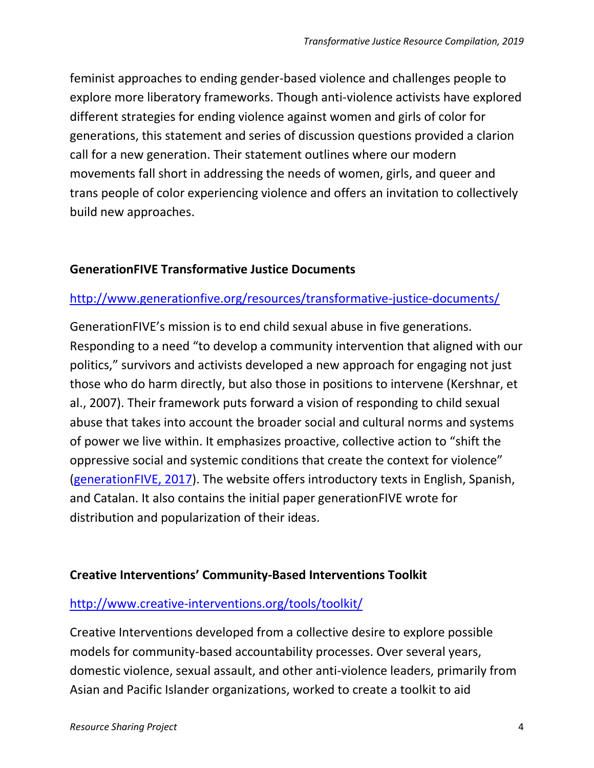feminist approaches to ending gender-based violence and challenges people to explore more liberatory frameworks. Though anti-violence activists have explored different strategies for ending violence against women and girls of color for generations, this statement and series of discussion questions provided a clarion call for a new generation. Their statement outlines where our modern movements fall short in addressing the needs of women, girls, and queer and trans people of color experiencing violence and offers an invitation to collectively build new approaches.

### **GenerationFIVE Transformative Justice Documents**

## <http://www.generationfive.org/resources/transformative-justice-documents/>

GenerationFIVE's mission is to end child sexual abuse in five generations. Responding to a need "to develop a community intervention that aligned with our politics," survivors and activists developed a new approach for engaging not just those who do harm directly, but also those in positions to intervene (Kershnar, et al., 2007). Their framework puts forward a vision of responding to child sexual abuse that takes into account the broader social and cultural norms and systems of power we live within. It emphasizes proactive, collective action to "shift the oppressive social and systemic conditions that create the context for violence" [\(generationFIVE, 2017\)](http://www.generationfive.org/wp-content/uploads/2017/06/Transformative-Justice-Handbook.pdf). The website offers introductory texts in English, Spanish, and Catalan. It also contains the initial paper generationFIVE wrote for distribution and popularization of their ideas.

### **Creative Interventions' Community-Based Interventions Toolkit**

### <http://www.creative-interventions.org/tools/toolkit/>

Creative Interventions developed from a collective desire to explore possible models for community-based accountability processes. Over several years, domestic violence, sexual assault, and other anti-violence leaders, primarily from Asian and Pacific Islander organizations, worked to create a toolkit to aid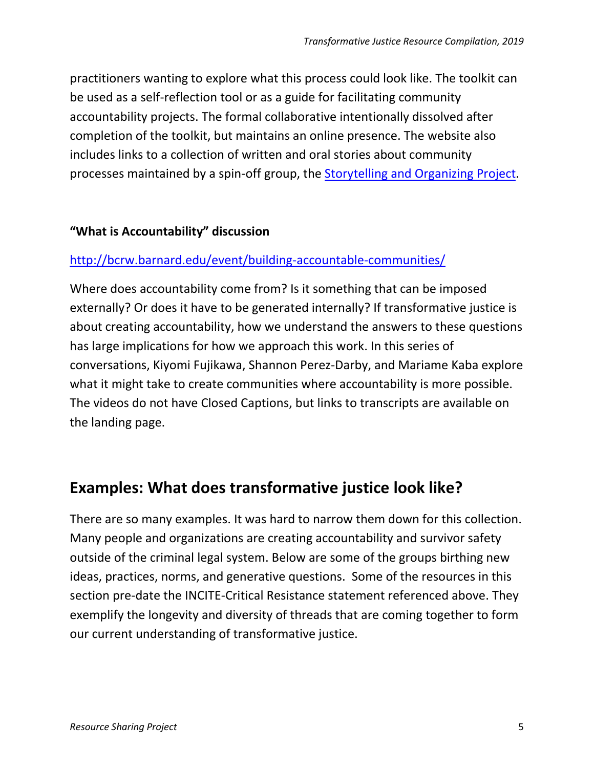practitioners wanting to explore what this process could look like. The toolkit can be used as a self-reflection tool or as a guide for facilitating community accountability projects. The formal collaborative intentionally dissolved after completion of the toolkit, but maintains an online presence. The website also includes links to a collection of written and oral stories about community processes maintained by a spin-off group, the [Storytelling and Organizing Project.](http://www.stopviolenceeveryday.org/)

### **"What is Accountability" discussion**

## <http://bcrw.barnard.edu/event/building-accountable-communities/>

Where does accountability come from? Is it something that can be imposed externally? Or does it have to be generated internally? If transformative justice is about creating accountability, how we understand the answers to these questions has large implications for how we approach this work. In this series of conversations, Kiyomi Fujikawa, Shannon Perez-Darby, and Mariame Kaba explore what it might take to create communities where accountability is more possible. The videos do not have Closed Captions, but links to transcripts are available on the landing page.

## **Examples: What does transformative justice look like?**

There are so many examples. It was hard to narrow them down for this collection. Many people and organizations are creating accountability and survivor safety outside of the criminal legal system. Below are some of the groups birthing new ideas, practices, norms, and generative questions. Some of the resources in this section pre-date the INCITE-Critical Resistance statement referenced above. They exemplify the longevity and diversity of threads that are coming together to form our current understanding of transformative justice.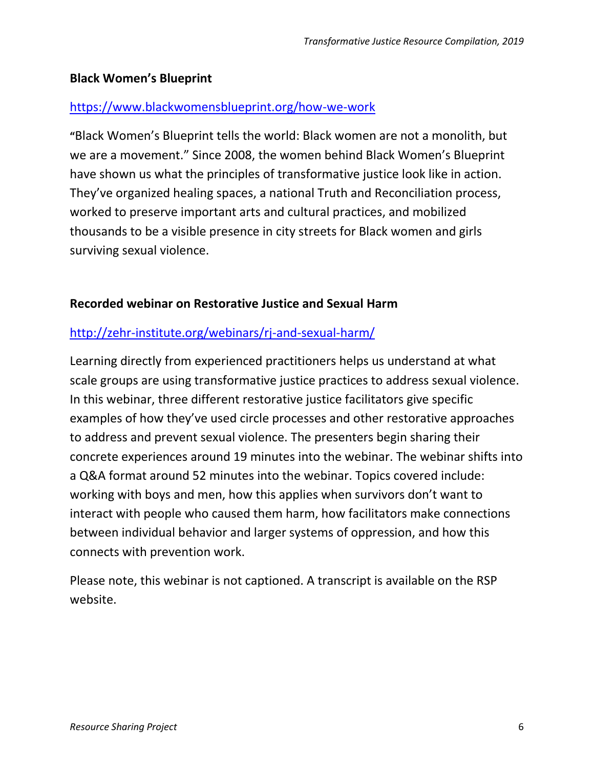## **Black Women's Blueprint**

### <https://www.blackwomensblueprint.org/how-we-work>

**"**Black Women's Blueprint tells the world: Black women are not a monolith, but we are a movement." Since 2008, the women behind Black Women's Blueprint have shown us what the principles of transformative justice look like in action. They've organized healing spaces, a national Truth and Reconciliation process, worked to preserve important arts and cultural practices, and mobilized thousands to be a visible presence in city streets for Black women and girls surviving sexual violence.

### **Recorded webinar on Restorative Justice and Sexual Harm**

## <http://zehr-institute.org/webinars/rj-and-sexual-harm/>

Learning directly from experienced practitioners helps us understand at what scale groups are using transformative justice practices to address sexual violence. In this webinar, three different restorative justice facilitators give specific examples of how they've used circle processes and other restorative approaches to address and prevent sexual violence. The presenters begin sharing their concrete experiences around 19 minutes into the webinar. The webinar shifts into a Q&A format around 52 minutes into the webinar. Topics covered include: working with boys and men, how this applies when survivors don't want to interact with people who caused them harm, how facilitators make connections between individual behavior and larger systems of oppression, and how this connects with prevention work.

Please note, this webinar is not captioned. A transcript is available on the RSP website.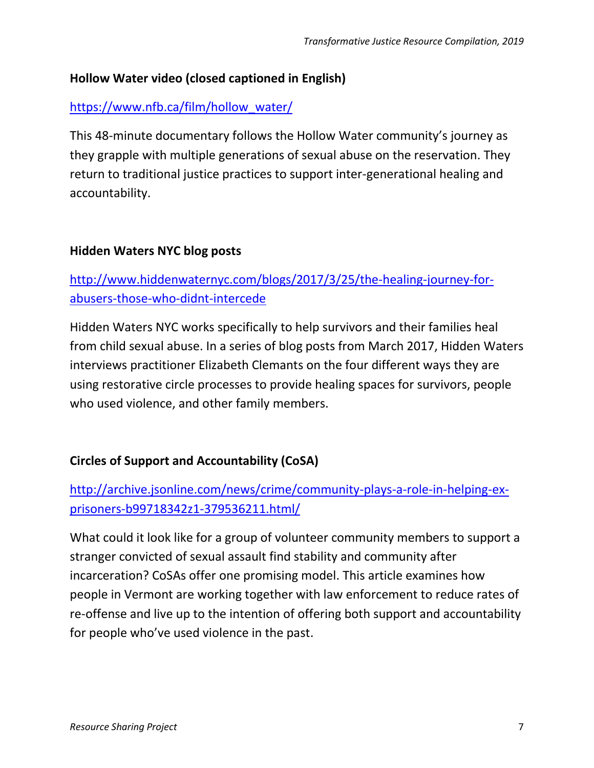## **Hollow Water video (closed captioned in English)**

## [https://www.nfb.ca/film/hollow\\_water/](https://www.nfb.ca/film/hollow_water/)

This 48-minute documentary follows the Hollow Water community's journey as they grapple with multiple generations of sexual abuse on the reservation. They return to traditional justice practices to support inter-generational healing and accountability.

#### **Hidden Waters NYC blog posts**

## [http://www.hiddenwaternyc.com/blogs/2017/3/25/the-healing-journey-for](http://www.hiddenwaternyc.com/blogs/2017/3/25/the-healing-journey-for-abusers-those-who-didnt-intercede)[abusers-those-who-didnt-intercede](http://www.hiddenwaternyc.com/blogs/2017/3/25/the-healing-journey-for-abusers-those-who-didnt-intercede)

Hidden Waters NYC works specifically to help survivors and their families heal from child sexual abuse. In a series of blog posts from March 2017, Hidden Waters interviews practitioner Elizabeth Clemants on the four different ways they are using restorative circle processes to provide healing spaces for survivors, people who used violence, and other family members.

## **Circles of Support and Accountability (CoSA)**

## [http://archive.jsonline.com/news/crime/community-plays-a-role-in-helping-ex](http://archive.jsonline.com/news/crime/community-plays-a-role-in-helping-ex-prisoners-b99718342z1-379536211.html/)[prisoners-b99718342z1-379536211.html/](http://archive.jsonline.com/news/crime/community-plays-a-role-in-helping-ex-prisoners-b99718342z1-379536211.html/)

What could it look like for a group of volunteer community members to support a stranger convicted of sexual assault find stability and community after incarceration? CoSAs offer one promising model. This article examines how people in Vermont are working together with law enforcement to reduce rates of re-offense and live up to the intention of offering both support and accountability for people who've used violence in the past.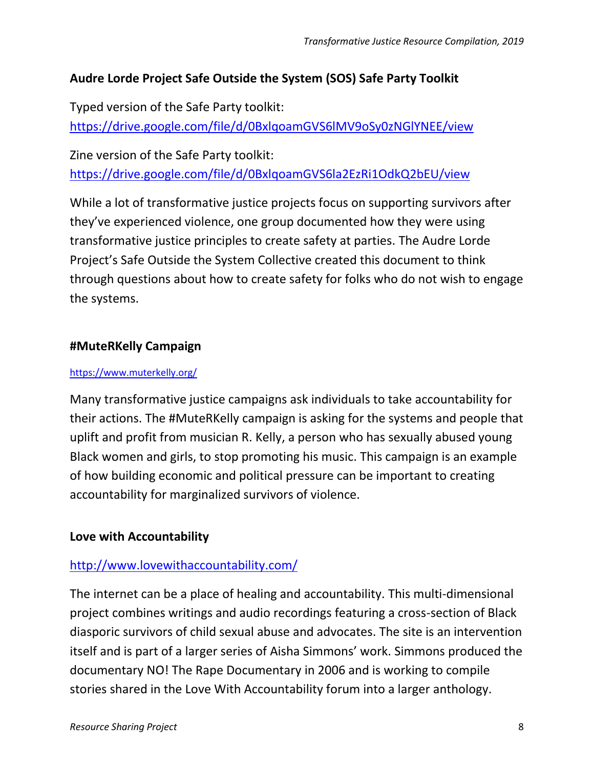## **Audre Lorde Project Safe Outside the System (SOS) Safe Party Toolkit**

Typed version of the Safe Party toolkit: <https://drive.google.com/file/d/0BxlqoamGVS6lMV9oSy0zNGlYNEE/view>

Zine version of the Safe Party toolkit: <https://drive.google.com/file/d/0BxlqoamGVS6la2EzRi1OdkQ2bEU/view>

While a lot of transformative justice projects focus on supporting survivors after they've experienced violence, one group documented how they were using transformative justice principles to create safety at parties. The Audre Lorde Project's Safe Outside the System Collective created this document to think through questions about how to create safety for folks who do not wish to engage the systems.

#### **#MuteRKelly Campaign**

#### <https://www.muterkelly.org/>

Many transformative justice campaigns ask individuals to take accountability for their actions. The #MuteRKelly campaign is asking for the systems and people that uplift and profit from musician R. Kelly, a person who has sexually abused young Black women and girls, to stop promoting his music. This campaign is an example of how building economic and political pressure can be important to creating accountability for marginalized survivors of violence.

#### **Love with Accountability**

### <http://www.lovewithaccountability.com/>

The internet can be a place of healing and accountability. This multi-dimensional project combines writings and audio recordings featuring a cross-section of Black diasporic survivors of child sexual abuse and advocates. The site is an intervention itself and is part of a larger series of Aisha Simmons' work. Simmons produced the documentary NO! The Rape Documentary in 2006 and is working to compile stories shared in the Love With Accountability forum into a larger anthology.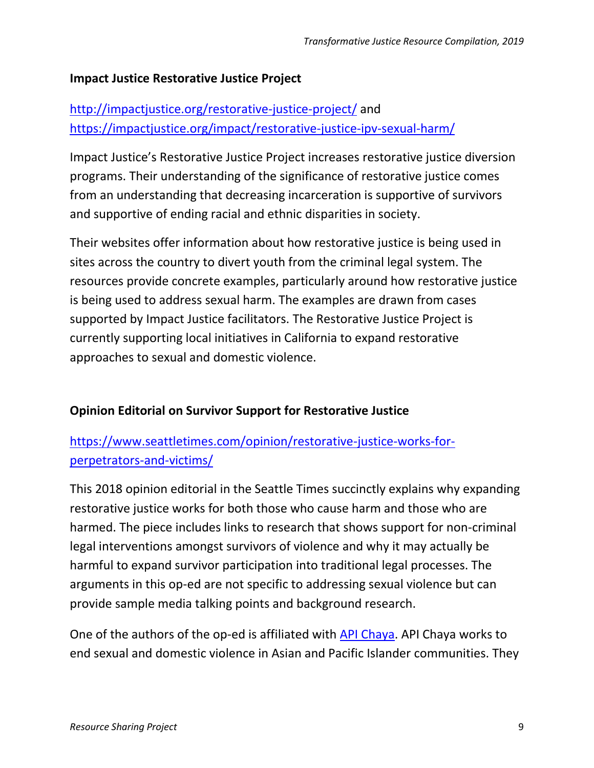### **Impact Justice Restorative Justice Project**

## <http://impactjustice.org/restorative-justice-project/> and <https://impactjustice.org/impact/restorative-justice-ipv-sexual-harm/>

Impact Justice's Restorative Justice Project increases restorative justice diversion programs. Their understanding of the significance of restorative justice comes from an understanding that decreasing incarceration is supportive of survivors and supportive of ending racial and ethnic disparities in society.

Their websites offer information about how restorative justice is being used in sites across the country to divert youth from the criminal legal system. The resources provide concrete examples, particularly around how restorative justice is being used to address sexual harm. The examples are drawn from cases supported by Impact Justice facilitators. The Restorative Justice Project is currently supporting local initiatives in California to expand restorative approaches to sexual and domestic violence.

## **Opinion Editorial on Survivor Support for Restorative Justice**

[https://www.seattletimes.com/opinion/restorative-justice-works-for](https://www.seattletimes.com/opinion/restorative-justice-works-for-perpetrators-and-victims/)[perpetrators-and-victims/](https://www.seattletimes.com/opinion/restorative-justice-works-for-perpetrators-and-victims/)

This 2018 opinion editorial in the Seattle Times succinctly explains why expanding restorative justice works for both those who cause harm and those who are harmed. The piece includes links to research that shows support for non-criminal legal interventions amongst survivors of violence and why it may actually be harmful to expand survivor participation into traditional legal processes. The arguments in this op-ed are not specific to addressing sexual violence but can provide sample media talking points and background research.

One of the authors of the op-ed is affiliated with [API Chaya.](http://www.apichaya.org/) API Chaya works to end sexual and domestic violence in Asian and Pacific Islander communities. They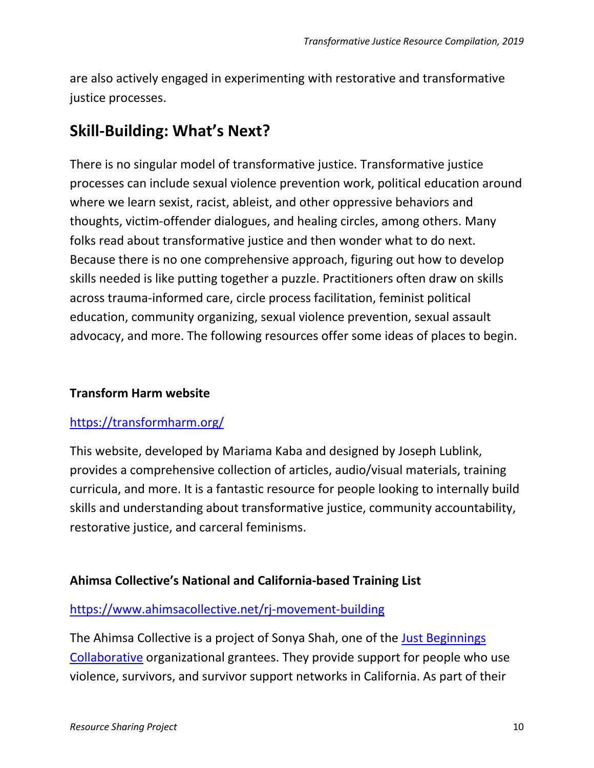are also actively engaged in experimenting with restorative and transformative justice processes.

## **Skill-Building: What's Next?**

There is no singular model of transformative justice. Transformative justice processes can include sexual violence prevention work, political education around where we learn sexist, racist, ableist, and other oppressive behaviors and thoughts, victim-offender dialogues, and healing circles, among others. Many folks read about transformative justice and then wonder what to do next. Because there is no one comprehensive approach, figuring out how to develop skills needed is like putting together a puzzle. Practitioners often draw on skills across trauma-informed care, circle process facilitation, feminist political education, community organizing, sexual violence prevention, sexual assault advocacy, and more. The following resources offer some ideas of places to begin.

## **Transform Harm website**

### <https://transformharm.org/>

This website, developed by Mariama Kaba and designed by Joseph Lublink, provides a comprehensive collection of articles, audio/visual materials, training curricula, and more. It is a fantastic resource for people looking to internally build skills and understanding about transformative justice, community accountability, restorative justice, and carceral feminisms.

### **Ahimsa Collective's National and California-based Training List**

### <https://www.ahimsacollective.net/rj-movement-building>

The Ahimsa Collective is a project of Sonya Shah, one of the [Just Beginnings](http://justbeginnings.org/)  [Collaborative](http://justbeginnings.org/) organizational grantees. They provide support for people who use violence, survivors, and survivor support networks in California. As part of their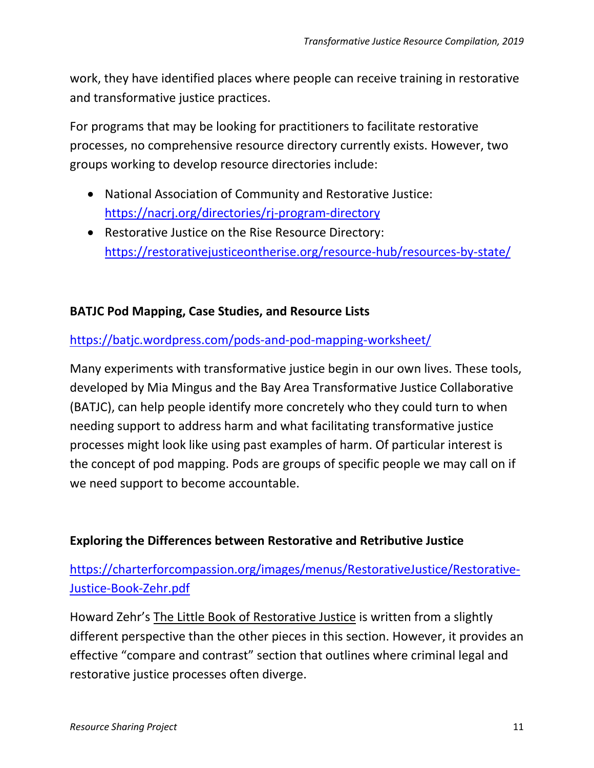work, they have identified places where people can receive training in restorative and transformative justice practices.

For programs that may be looking for practitioners to facilitate restorative processes, no comprehensive resource directory currently exists. However, two groups working to develop resource directories include:

- National Association of Community and Restorative Justice: <https://nacrj.org/directories/rj-program-directory>
- Restorative Justice on the Rise Resource Directory: <https://restorativejusticeontherise.org/resource-hub/resources-by-state/>

## **BATJC Pod Mapping, Case Studies, and Resource Lists**

### <https://batjc.wordpress.com/pods-and-pod-mapping-worksheet/>

Many experiments with transformative justice begin in our own lives. These tools, developed by Mia Mingus and the Bay Area Transformative Justice Collaborative (BATJC), can help people identify more concretely who they could turn to when needing support to address harm and what facilitating transformative justice processes might look like using past examples of harm. Of particular interest is the concept of pod mapping. Pods are groups of specific people we may call on if we need support to become accountable.

### **Exploring the Differences between Restorative and Retributive Justice**

[https://charterforcompassion.org/images/menus/RestorativeJustice/Restorative-](https://charterforcompassion.org/images/menus/RestorativeJustice/Restorative-Justice-Book-Zehr.pdf)[Justice-Book-Zehr.pdf](https://charterforcompassion.org/images/menus/RestorativeJustice/Restorative-Justice-Book-Zehr.pdf)

Howard Zehr's The Little Book of Restorative Justice is written from a slightly different perspective than the other pieces in this section. However, it provides an effective "compare and contrast" section that outlines where criminal legal and restorative justice processes often diverge.